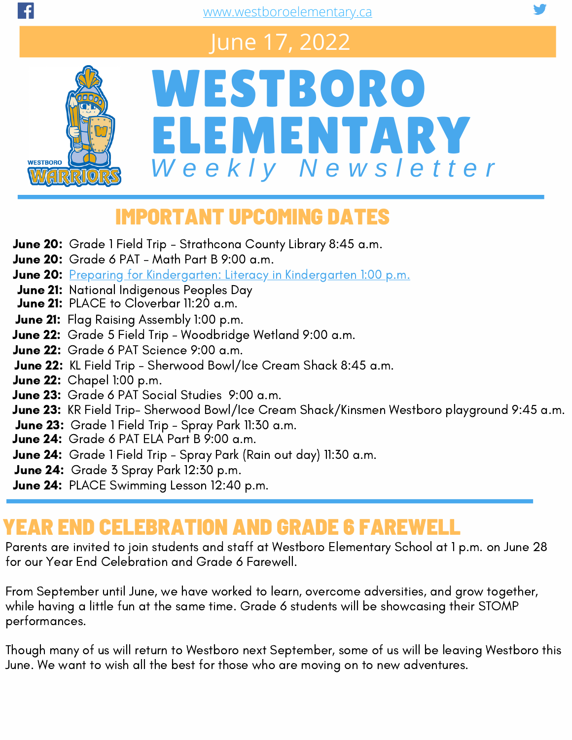## June 17, 2022



# WESTBORO ELEMENTARY *W e e k l y N e w s l e t t e r*

## IMPORTANT UPCOMING DATES

- June 20: Grade 1 Field Trip Strathcona County Library 8:45 a.m.
- **June 20:** Grade 6 PAT Math Part B  $9:00$  a.m.
- June 20: Preparing for [Kindergarten:](https://www.eips.ca/programs-services/early-learning/kindergarten/preparing-for-kindergarten-sessions) Literacy in Kindergarten 1:00 p.m.
- **June 21:** [Na](https://www.eips.ca/programs-services/early-learning/kindergarten/preparing-for-kindergarten-sessions)tional Indigenous Peoples Day
- **June 21:** PLACE to Cloverbar 11:20 a.m.
- **June 21:** Flag Raising Assembly 1:00 p.m.
- June 22: Grade 5 Field Trip [Woodbridge](https://www.westboroelementary.ca/school-calendar#) Wetland 9:00 a.m.
- June 22: Grade 6 PAT Science 9:00 a.m.
- June 22: KL Field Trip [Sherwood](https://www.westboroelementary.ca/school-calendar#) Bowl/Ice Cream Shack 8:45 a.m.
- **June 22:** Chapel 1:00 p.m.
- June 23: Grade 6 PAT Social Studies 9:00 a.m.
- June 23: KR Field Trip- [Sherwood](https://www.westboroelementary.ca/school-calendar#) Bowl/Ice Cream Shack/Kinsmen Westboro playground 9:45 a.m.
- June 23: Grade 1 Field Trip Spray Park 11:30 a.m.
- June 24: [Grade](https://www.westboroelementary.ca/school-calendar#) 6 PAT ELA Part B 9:00 a.m.
- June 24: Grade 1 Field Trip Spray Park (Rain out day) 11:30 a.m.
- June 24: Grade 3 Spray Park 12:30 p.m.
- June 24: PLACE Swimming Lesson 12:40 p.m.

## YEAR END CELEBRATION AND GRADE 6 FAREWELL

Parents are invited to join students and staff at Westboro Elementary School at 1 p.m. on June 28 for our Year End Celebration and Grade 6 Farewell.

From September until June, we have worked to learn, overcome adversities, and grow together, while having a little fun at the same time. Grade 6 students will be showcasing their STOMP performances.

Though many of us will return to Westboro next September, some of us will be leaving Westboro this June. We want to wish all the best for those who are moving on to new adventures.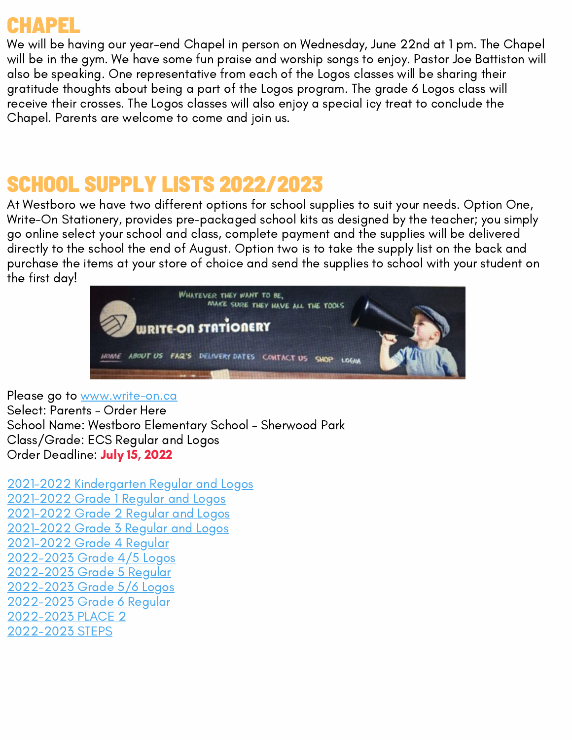## CHAPEL

We will be having our year-end Chapel in person on Wednesday, June 22nd at 1 pm. The Chapel will be in the gym. We have some fun praise and worship songs to enjoy. Pastor Joe Battiston will also be speaking. One representative from each of the Logos classes will be sharing their gratitude thoughts about being a part of the Logos program. The grade 6 Logos class will receive their crosses. The Logos classes will also enjoy a special icy treat to conclude the Chapel. Parents are welcome to come and join us.

## SCHOOL SUPPLY LISTS 2022/2023

At Westboro we have two different options for school supplies to suit your needs. Option One, Write-On Stationery, provides pre-packaged school kits as designed by the teacher; you simply go online select your school and class, complete payment and the supplies will be delivered directly to the school the end of August. Option two is to take the supply list on the back and purchase the items at your store of choice and send the supplies to school with your student on the first day!



Please go to <u>[www.write-on.ca](https://www.write-on.ca/)</u> Select: Parents – Order Here School Name: Westboro Elementary School – Sherwood Park Class/Grade: ECS Regular and Logos Order Deadline: July 15, 2022

2021-2022 [Kindergarten](https://www.westboroelementary.ca/download/391766) Regular and Logos [2021-2022](https://www.westboroelementary.ca/download/391768) Grade 1 Regular and Logos [2021-2022](https://www.westboroelementary.ca/download/391764) Grade 2 Regular and Logos [2021-2022](https://www.westboroelementary.ca/download/391769) Grade 3 Regular and Logos [2021-2022](https://www.westboroelementary.ca/download/393411) Grade 4 Regular [2022-2023](https://www.westboroelementary.ca/download/393410) Grade 4/5 Logos [2022-2023](https://www.westboroelementary.ca/download/393409) Grade 5 Regular [2022-2023](https://www.westboroelementary.ca/download/393408) Grade 5/6 Logos [2022-2023](https://www.westboroelementary.ca/download/393407) Grade 6 Regular [2022-2023](https://www.westboroelementary.ca/download/391772) PLACE 2 [2022-2023](https://www.westboroelementary.ca/download/391770) STEPS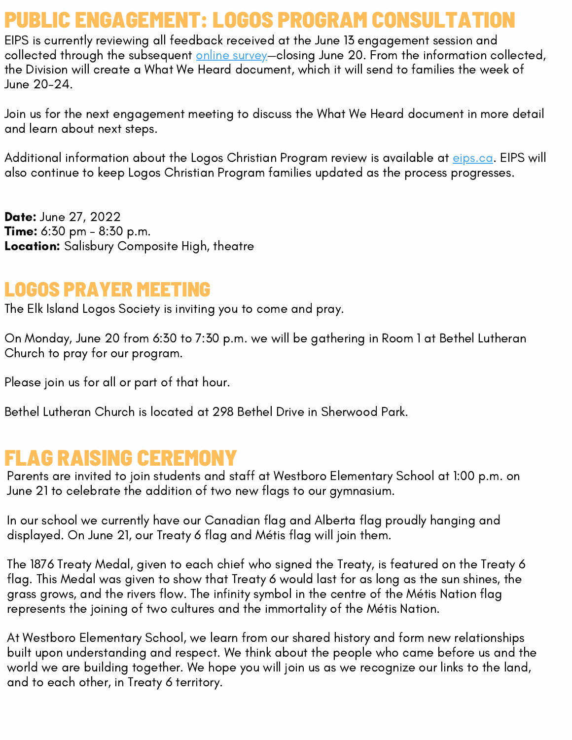## PUBLIC ENGAGEMENT: LOGOS PROGRAM CONSULTA

EIPS is currently reviewing all feedback received at the June 13 engagement session and collected through the subsequent online [survey](https://docs.google.com/forms/d/e/1FAIpQLScM-8V9Znzn1qKliCeRD-Ln_tY55WHNPZRXuCOsxDWFV8FNGA/viewform)-closing June 20. From the information collected, the Division will create a What We Heard document, which it will send to families the week of June 20-24.

Join us for the next engagement meeting to discuss the What We Heard document in more detail and learn about next steps.

Additional information about the Logos Christian Program review is available at *[eips.ca](https://www.eips.ca/about-us/planning-and-results/public-engagement/logos-program-review).* EIPS will also continue to keep Logos Christian Program families updated as the process progresses.

**Date: June 27, 2022 Time:** 6:30 pm - 8:30 p.m. Location: Salisbury Composite High, theatre

### LOGOS PRAYER MEETING

The Elk Island Logos Society is inviting you to come and pray.

On Monday, June 20 from 6:30 to 7:30 p.m. we will be gathering in Room 1 at Bethel Lutheran Church to pray for our program.

Please join us for all or part of that hour.

Bethel Lutheran Church is located at 298 Bethel Drive in Sherwood Park.

## FLAG RAISING CEREMONY

Parents are invited to join students and staff at Westboro Elementary School at 1:00 p.m. on June 21 to celebrate the addition of two new flags to our gymnasium.

In our school we currently have our Canadian flag and Alberta flag proudly hanging and displayed. On June 21, our Treaty 6 flag and Métis flag will join them.

The 1876 Treaty Medal, given to each chief who signed the Treaty, is featured on the Treaty 6 flag. This Medal was given to show that Treaty 6 would last for as long as the sun shines, the grass grows, and the rivers flow. The infinity symbol in the centre of the Métis Nation flag represents the joining of two cultures and the immortality of the Métis Nation.

At Westboro Elementary School, we learn from our shared history and form new relationships built upon understanding and respect. We think about the people who came before us and the world we are building together. We hope you will join us as we recognize our links to the land, and to each other, in Treaty 6 territory.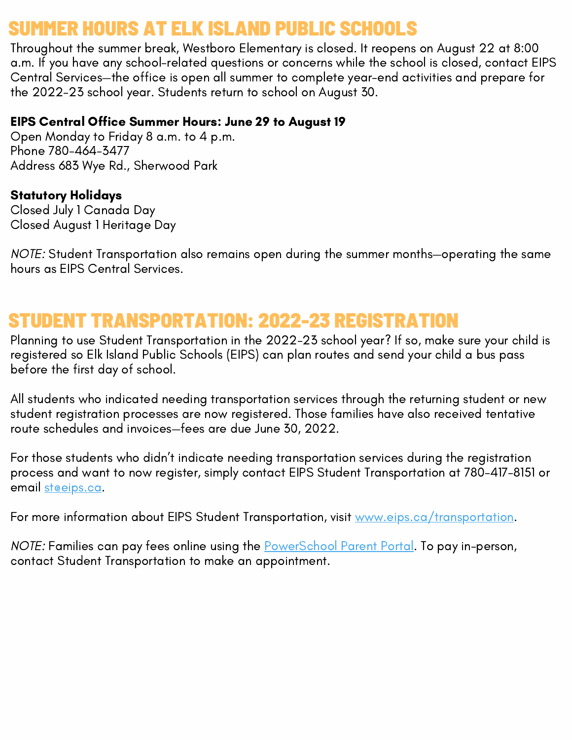## ELK ISLAND

Throughout the summer break, Westboro Elementary is closed. It reopens on August 22 at 8:00 a.m. If you have any school-related questions or concerns while the school is closed, contact EIPS Central Services—the office is open all summer to complete year-end activities and prepare for the 2022-23 school year. Students return to school on August 30.

#### EIPS Central Office Summer Hours: June 29 to August 19

Open Monday to Friday 8 a.m. to 4 p.m. Phone 780-464-3477 Address 683 Wye Rd., Sherwood Park

#### Statutory Holidays

Closed July 1 Canada Day Closed August 1 Heritage Day

NOTE: Student Transportation also remains open during the summer months—operating the same hours as EIPS Central Services.

## STUDENT TRANSPORTATION: 2022-23 REGISTRATION

Planning to use Student Transportation in the 2022-23 school year? If so, make sure your child is registered so Elk Island Public Schools (EIPS) can plan routes and send your child a bus pass before the first day of school.

All students who indicated needing transportation services through the returning student or new student registration processes are now registered. Those families have also received tentative route schedules and invoices—fees are due June 30, 2022.

For those students who didn't indicate needing transportation services during the registration process and want to now register, simply contact EIPS Student Transportation at 780-417-8151 or email steeips.ca.

For more information about EIPS Student Transportation, visit [www.eips.ca/transportation.](https://www.eips.ca/transportation)

NOTE: Families can pay fees online using the **[PowerSchool](https://powerschool.eips.ca/public/home.html) Parent Portal**. To pay in-person, contact Student Transportation to make an appointment.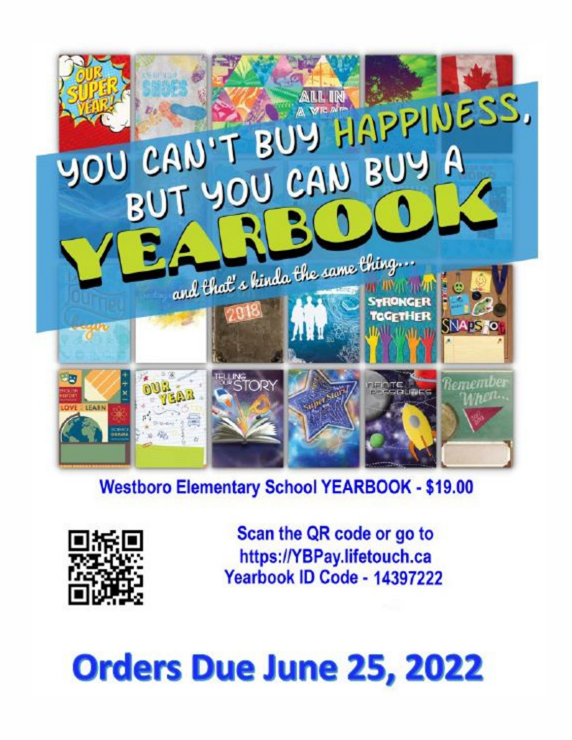

## **Westboro Elementary School YEARBOOK - \$19.00**



Scan the QR code or go to https://YBPay.lifetouch.ca Yearbook ID Code - 14397222

# **Orders Due June 25, 2022**